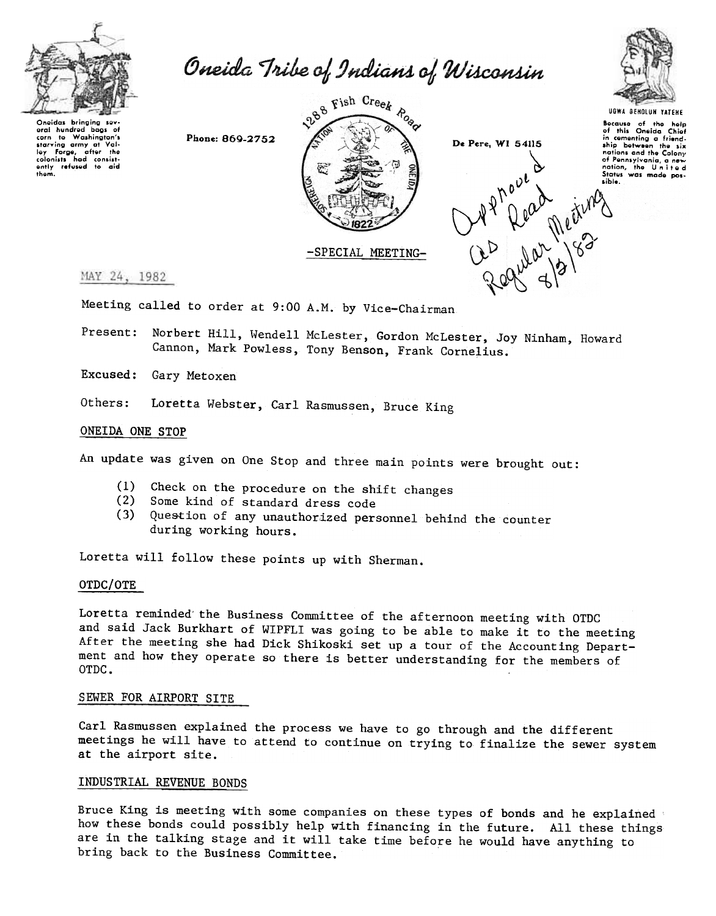

Oneida Tribe of Indians of Wisconsin



Oneidas bringing so oral hundred baas of corn to Washington's com to washington's<br>starving army at Val-<br>ley Forge, after the<br>colonists had consist-<br>ently refused to aid<br>them.

Phone: 869-2752



De Pere, WI 54115 Wahave a simple

Bocause of the help<br>of this Oneida Chief<br>in cementing a friendship botween the civ nations and the Colony of Pennsylvania, a new<br>nation, the United<br>States was made possible.

MAY 24, 1982

Meeting called to order at 9:00 A.M. by Vice-Chairman

Present: Norbert Hill, Wendell McLester, Gordon McLester, Joy Ninham, Howard Cannon, Mark Powless, Tony Benson, Frank Cornelius.

Excused: Gary Metoxen

Others: Loretta Webster, Carl Rasmussen, Bruce King

## ONEIDA ONE STOP

An update was given on One Stop and three main points were brought out:

- Check on the procedure on the shift changes  $(1)$
- (2) Some kind of standard dress code
- Question of any unauthorized personnel behind the counter  $(3)$ during working hours.

Loretta will follow these points up with Sherman.

## OTDC/OTE

Loretta reminded the Business Committee of the afternoon meeting with OTDC and said Jack Burkhart of WIPFLI was going to be able to make it to the meeting After the meeting she had Dick Shikoski set up a tour of the Accounting Department and how they operate so there is better understanding for the members of OTDC.

# SEWER FOR AIRPORT SITE

Carl Rasmussen explained the process we have to go through and the different meetings he will have to attend to continue on trying to finalize the sewer system at the airport site.

# INDUSTRIAL REVENUE BONDS

Bruce King is meeting with some companies on these types of bonds and he explained how these bonds could possibly help with financing in the future. All these things are in the talking stage and it will take time before he would have anything to bring back to the Business Committee.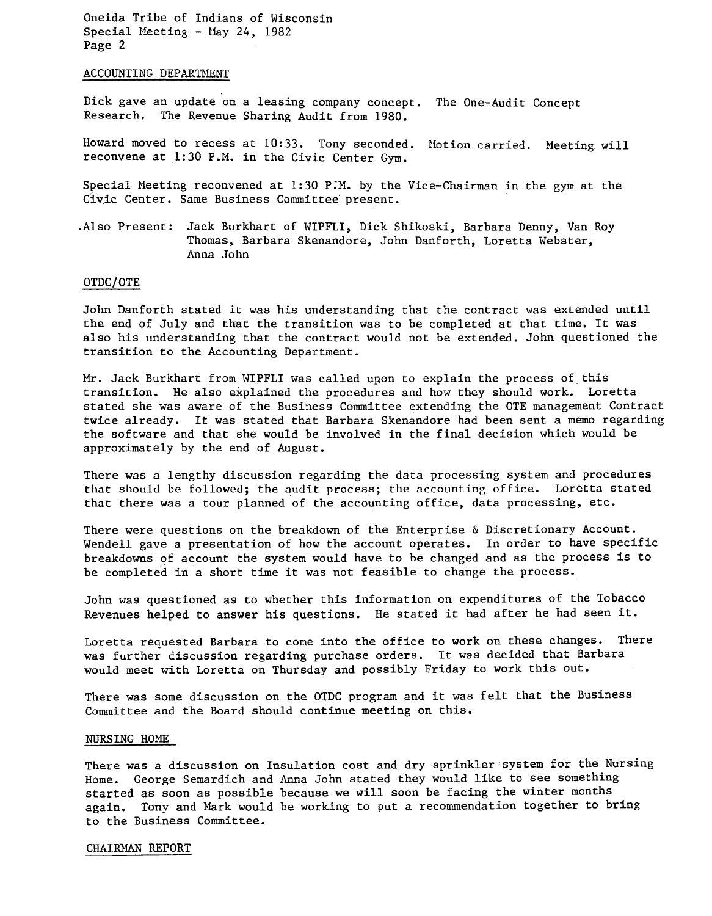Oneida Tribe of Indians of Wisconsin Special Meeting - May 24, 1982 Page 2

### ACCOUNTING DEPARTMENT

Dick gave an update on a leasing company concept. The One-Audit Concep Research. The Revenue Sharing Audit from 1980.

Howard moved to recess at 10:33. Tony seconded. Motion carried. Meeting wi reconvene at 1:30 P.M. in the Civic Center Gym.

Special Meeting reconvened at 1:30 P:M. by the Vice-Chairman in the gym at the Civic Center. Same Business Committee present.

.Also Present: Jack Burkhart of WIPFLI, Dick Shikoski, Barbara Denny, Van Roy Thomas, Barbara Skenandore, John Danforth, Loretta Webster, Anna John

### OTDC/OTE

John Danforth stated it was his understanding that the contract was extended until the end of July and that the transition was to be completed at that time. It was also his understanding that the contract would not be extended. John questioned the transition to the Accounting Department.

Mr. Jack Burkhart from WIPFLI was called upon to explain the process of this transition. He also explained the procedures and how they should work. Loretta stated she was aware of the Business Committee extending the GTE management Contract twice already. It was stated that Barbara Skenandore had been sent a memo regarding the software and that she would be involved in the final decision which would be approximately by the end of August.

There was a lengthy discussion regarding the data processing system and procedures that should be followed; the audit process; the accounting office. Loretta stated that there was a tour planned of the accounting office, data processing, etc.

There were questions on the breakdown of the Enterprise & Discretionary Account. Wendell gave a presentation of how the account operates. In order to have specific breakdowns of account the system would have to be changed and as the process is to be completed in a short time it was not feasible to change the process.

John was questioned as to whether this information on expenditures of the Tobacco Revenues helped to answer his questions. He stated it had after he had seen it.

Loretta requested Barbara to come into the office to work on these changes. There was further discussion regarding purchase orders. It was decided that Barbara would meet with Loretta on Thursday and possibly Friday to work this out.

There was some discussion on the OTDC program and it was felt that the Business Committee and the Board should continue meeting on this.

#### NURSING HOME

There was a discussion on Insulation cost and dry sprinkler system for the Nursing Home. George Semardich and Anna John stated they would like to see something started as soon as possible because we will soon be facing the winter months again. Tony and Mark would be working to put a recommendation together to bring to the Business Committee.

#### CHAIRMAN REPORT